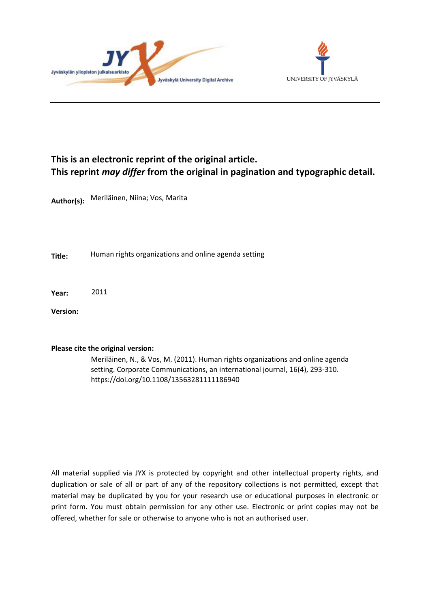



# **This is an electronic reprint of the original article. This reprint** *may differ* **from the original in pagination and typographic detail.**

**Author(s):**  Meriläinen, Niina; Vos, Marita

**Title:** Human rights organizations and online agenda setting

**Year:**  2011

**Version:**

### **Please cite the original version:**

Meriläinen, N., & Vos, M. (2011). Human rights organizations and online agenda setting. Corporate Communications, an international journal, 16(4), 293-310. https://doi.org/10.1108/13563281111186940

All material supplied via JYX is protected by copyright and other intellectual property rights, and duplication or sale of all or part of any of the repository collections is not permitted, except that material may be duplicated by you for your research use or educational purposes in electronic or print form. You must obtain permission for any other use. Electronic or print copies may not be offered, whether for sale or otherwise to anyone who is not an authorised user.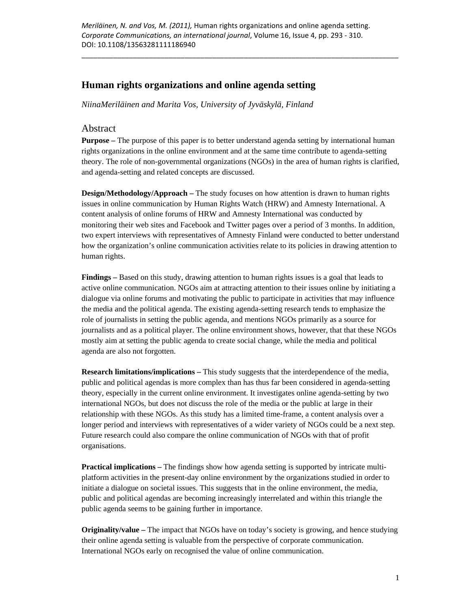### **Human rights organizations and online agenda setting**

*NiinaMeriläinen and Marita Vos, University of Jyväskylä, Finland* 

### Abstract

**Purpose –** The purpose of this paper is to better understand agenda setting by international human rights organizations in the online environment and at the same time contribute to agenda-setting theory. The role of non-governmental organizations (NGOs) in the area of human rights is clarified, and agenda-setting and related concepts are discussed.

**Design/Methodology/Approach** – The study focuses on how attention is drawn to human rights issues in online communication by Human Rights Watch (HRW) and Amnesty International. A content analysis of online forums of HRW and Amnesty International was conducted by monitoring their web sites and Facebook and Twitter pages over a period of 3 months. In addition, two expert interviews with representatives of Amnesty Finland were conducted to better understand how the organization's online communication activities relate to its policies in drawing attention to human rights.

**Findings –** Based on this study, drawing attention to human rights issues is a goal that leads to active online communication. NGOs aim at attracting attention to their issues online by initiating a dialogue via online forums and motivating the public to participate in activities that may influence the media and the political agenda. The existing agenda-setting research tends to emphasize the role of journalists in setting the public agenda, and mentions NGOs primarily as a source for journalists and as a political player. The online environment shows, however, that that these NGOs mostly aim at setting the public agenda to create social change, while the media and political agenda are also not forgotten.

**Research limitations/implications –** This study suggests that the interdependence of the media, public and political agendas is more complex than has thus far been considered in agenda-setting theory, especially in the current online environment. It investigates online agenda-setting by two international NGOs, but does not discuss the role of the media or the public at large in their relationship with these NGOs. As this study has a limited time-frame, a content analysis over a longer period and interviews with representatives of a wider variety of NGOs could be a next step. Future research could also compare the online communication of NGOs with that of profit organisations.

**Practical implications –** The findings show how agenda setting is supported by intricate multiplatform activities in the present-day online environment by the organizations studied in order to initiate a dialogue on societal issues. This suggests that in the online environment, the media, public and political agendas are becoming increasingly interrelated and within this triangle the public agenda seems to be gaining further in importance.

**Originality/value –** The impact that NGOs have on today's society is growing, and hence studying their online agenda setting is valuable from the perspective of corporate communication. International NGOs early on recognised the value of online communication.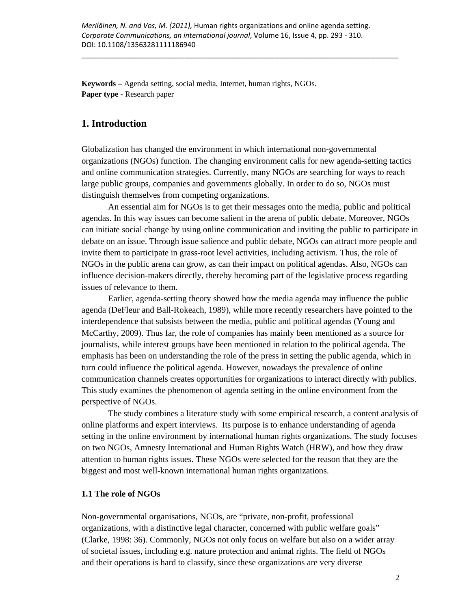**Keywords –** Agenda setting, social media, Internet, human rights, NGOs. **Paper type -** Research paper

## **1. Introduction**

Globalization has changed the environment in which international non-governmental organizations (NGOs) function. The changing environment calls for new agenda-setting tactics and online communication strategies. Currently, many NGOs are searching for ways to reach large public groups, companies and governments globally. In order to do so, NGOs must distinguish themselves from competing organizations.

An essential aim for NGOs is to get their messages onto the media, public and political agendas. In this way issues can become salient in the arena of public debate. Moreover, NGOs can initiate social change by using online communication and inviting the public to participate in debate on an issue. Through issue salience and public debate, NGOs can attract more people and invite them to participate in grass-root level activities, including activism. Thus, the role of NGOs in the public arena can grow, as can their impact on political agendas. Also, NGOs can influence decision-makers directly, thereby becoming part of the legislative process regarding issues of relevance to them.

Earlier, agenda-setting theory showed how the media agenda may influence the public agenda (DeFleur and Ball-Rokeach, 1989), while more recently researchers have pointed to the interdependence that subsists between the media, public and political agendas (Young and McCarthy, 2009). Thus far, the role of companies has mainly been mentioned as a source for journalists, while interest groups have been mentioned in relation to the political agenda. The emphasis has been on understanding the role of the press in setting the public agenda, which in turn could influence the political agenda. However, nowadays the prevalence of online communication channels creates opportunities for organizations to interact directly with publics. This study examines the phenomenon of agenda setting in the online environment from the perspective of NGOs.

The study combines a literature study with some empirical research, a content analysis of online platforms and expert interviews. Its purpose is to enhance understanding of agenda setting in the online environment by international human rights organizations. The study focuses on two NGOs, Amnesty International and Human Rights Watch (HRW), and how they draw attention to human rights issues. These NGOs were selected for the reason that they are the biggest and most well-known international human rights organizations.

### **1.1 The role of NGOs**

Non-governmental organisations, NGOs, are "private, non-profit, professional organizations, with a distinctive legal character, concerned with public welfare goals" (Clarke, 1998: 36). Commonly, NGOs not only focus on welfare but also on a wider array of societal issues, including e.g. nature protection and animal rights. The field of NGOs and their operations is hard to classify, since these organizations are very diverse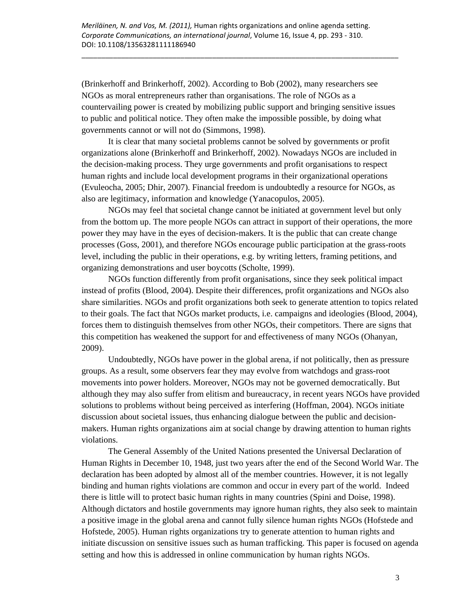(Brinkerhoff and Brinkerhoff, 2002). According to Bob (2002), many researchers see NGOs as moral entrepreneurs rather than organisations. The role of NGOs as a countervailing power is created by mobilizing public support and bringing sensitive issues to public and political notice. They often make the impossible possible, by doing what governments cannot or will not do (Simmons, 1998).

\_\_\_\_\_\_\_\_\_\_\_\_\_\_\_\_\_\_\_\_\_\_\_\_\_\_\_\_\_\_\_\_\_\_\_\_\_\_\_\_\_\_\_\_\_\_\_\_\_\_\_\_\_\_\_\_\_\_\_\_\_\_\_\_\_\_\_\_\_\_\_\_\_\_\_\_\_\_\_\_

It is clear that many societal problems cannot be solved by governments or profit organizations alone (Brinkerhoff and Brinkerhoff, 2002). Nowadays NGOs are included in the decision-making process. They urge governments and profit organisations to respect human rights and include local development programs in their organizational operations (Evuleocha, 2005; Dhir, 2007). Financial freedom is undoubtedly a resource for NGOs, as also are legitimacy, information and knowledge (Yanacopulos, 2005).

NGOs may feel that societal change cannot be initiated at government level but only from the bottom up. The more people NGOs can attract in support of their operations, the more power they may have in the eyes of decision-makers. It is the public that can create change processes (Goss, 2001), and therefore NGOs encourage public participation at the grass-roots level, including the public in their operations, e.g. by writing letters, framing petitions, and organizing demonstrations and user boycotts (Scholte, 1999).

NGOs function differently from profit organisations, since they seek political impact instead of profits (Blood, 2004). Despite their differences, profit organizations and NGOs also share similarities. NGOs and profit organizations both seek to generate attention to topics related to their goals. The fact that NGOs market products, i.e. campaigns and ideologies (Blood, 2004), forces them to distinguish themselves from other NGOs, their competitors. There are signs that this competition has weakened the support for and effectiveness of many NGOs (Ohanyan, 2009).

Undoubtedly, NGOs have power in the global arena, if not politically, then as pressure groups. As a result, some observers fear they may evolve from watchdogs and grass-root movements into power holders. Moreover, NGOs may not be governed democratically. But although they may also suffer from elitism and bureaucracy, in recent years NGOs have provided solutions to problems without being perceived as interfering (Hoffman, 2004). NGOs initiate discussion about societal issues, thus enhancing dialogue between the public and decisionmakers. Human rights organizations aim at social change by drawing attention to human rights violations.

The General Assembly of the United Nations presented the Universal Declaration of Human Rights in December 10, 1948, just two years after the end of the Second World War. The declaration has been adopted by almost all of the member countries. However, it is not legally binding and human rights violations are common and occur in every part of the world. Indeed there is little will to protect basic human rights in many countries (Spini and Doise, 1998). Although dictators and hostile governments may ignore human rights, they also seek to maintain a positive image in the global arena and cannot fully silence human rights NGOs (Hofstede and Hofstede, 2005). Human rights organizations try to generate attention to human rights and initiate discussion on sensitive issues such as human trafficking. This paper is focused on agenda setting and how this is addressed in online communication by human rights NGOs.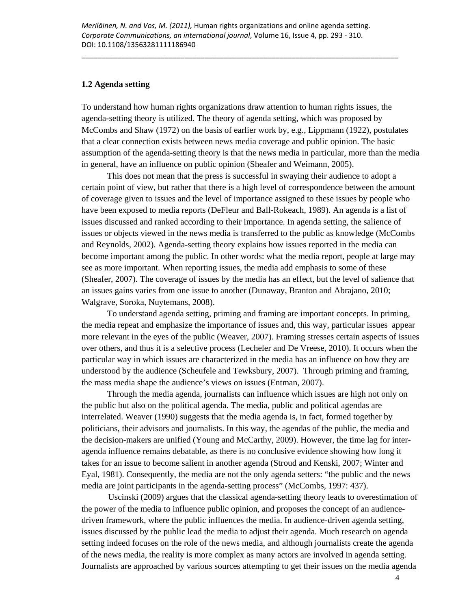### **1.2 Agenda setting**

To understand how human rights organizations draw attention to human rights issues, the agenda-setting theory is utilized. The theory of agenda setting, which was proposed by McCombs and Shaw (1972) on the basis of earlier work by, e.g., Lippmann (1922), postulates that a clear connection exists between news media coverage and public opinion. The basic assumption of the agenda-setting theory is that the news media in particular, more than the media in general, have an influence on public opinion (Sheafer and Weimann, 2005).

This does not mean that the press is successful in swaying their audience to adopt a certain point of view, but rather that there is a high level of correspondence between the amount of coverage given to issues and the level of importance assigned to these issues by people who have been exposed to media reports (DeFleur and Ball-Rokeach, 1989). An agenda is a list of issues discussed and ranked according to their importance. In agenda setting, the salience of issues or objects viewed in the news media is transferred to the public as knowledge (McCombs and Reynolds, 2002). Agenda-setting theory explains how issues reported in the media can become important among the public. In other words: what the media report, people at large may see as more important. When reporting issues, the media add emphasis to some of these (Sheafer, 2007). The coverage of issues by the media has an effect, but the level of salience that an issues gains varies from one issue to another (Dunaway, Branton and Abrajano, 2010; Walgrave, Soroka, Nuytemans, 2008).

To understand agenda setting, priming and framing are important concepts. In priming, the media repeat and emphasize the importance of issues and, this way, particular issues appear more relevant in the eyes of the public (Weaver, 2007). Framing stresses certain aspects of issues over others, and thus it is a selective process (Lecheler and De Vreese, 2010). It occurs when the particular way in which issues are characterized in the media has an influence on how they are understood by the audience (Scheufele and Tewksbury, 2007). Through priming and framing, the mass media shape the audience's views on issues (Entman, 2007).

Through the media agenda, journalists can influence which issues are high not only on the public but also on the political agenda. The media, public and political agendas are interrelated. Weaver (1990) suggests that the media agenda is, in fact, formed together by politicians, their advisors and journalists. In this way, the agendas of the public, the media and the decision-makers are unified (Young and McCarthy, 2009). However, the time lag for interagenda influence remains debatable, as there is no conclusive evidence showing how long it takes for an issue to become salient in another agenda (Stroud and Kenski, 2007; Winter and Eyal, 1981). Consequently, the media are not the only agenda setters: "the public and the news media are joint participants in the agenda-setting process" (McCombs, 1997: 437).

Uscinski (2009) argues that the classical agenda-setting theory leads to overestimation of the power of the media to influence public opinion, and proposes the concept of an audiencedriven framework, where the public influences the media. In audience-driven agenda setting, issues discussed by the public lead the media to adjust their agenda. Much research on agenda setting indeed focuses on the role of the news media, and although journalists create the agenda of the news media, the reality is more complex as many actors are involved in agenda setting. Journalists are approached by various sources attempting to get their issues on the media agenda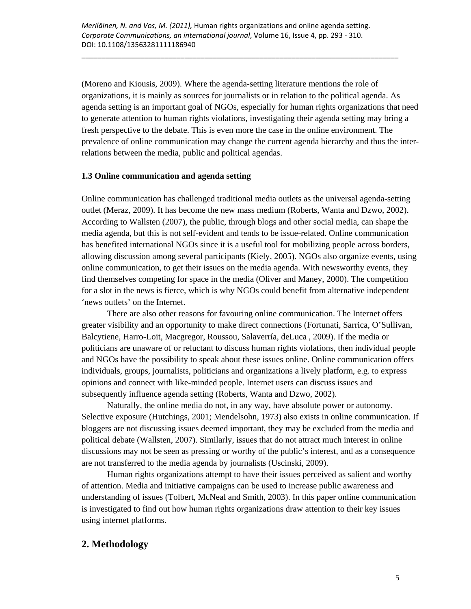(Moreno and Kiousis, 2009). Where the agenda-setting literature mentions the role of organizations, it is mainly as sources for journalists or in relation to the political agenda. As agenda setting is an important goal of NGOs, especially for human rights organizations that need to generate attention to human rights violations, investigating their agenda setting may bring a fresh perspective to the debate. This is even more the case in the online environment. The prevalence of online communication may change the current agenda hierarchy and thus the interrelations between the media, public and political agendas.

### **1.3 Online communication and agenda setting**

Online communication has challenged traditional media outlets as the universal agenda-setting outlet (Meraz, 2009). It has become the new mass medium (Roberts, Wanta and Dzwo, 2002). According to Wallsten (2007), the public, through blogs and other social media, can shape the media agenda, but this is not self-evident and tends to be issue-related. Online communication has benefited international NGOs since it is a useful tool for mobilizing people across borders, allowing discussion among several participants (Kiely, 2005). NGOs also organize events, using online communication, to get their issues on the media agenda. With newsworthy events, they find themselves competing for space in the media (Oliver and Maney, 2000). The competition for a slot in the news is fierce, which is why NGOs could benefit from alternative independent 'news outlets' on the Internet.

There are also other reasons for favouring online communication. The Internet offers greater visibility and an opportunity to make direct connections (Fortunati, Sarrica, O'Sullivan, Balcytiene, Harro-Loit, Macgregor, Roussou, Salaverría, deLuca , 2009). If the media or politicians are unaware of or reluctant to discuss human rights violations, then individual people and NGOs have the possibility to speak about these issues online. Online communication offers individuals, groups, journalists, politicians and organizations a lively platform, e.g. to express opinions and connect with like-minded people. Internet users can discuss issues and subsequently influence agenda setting (Roberts, Wanta and Dzwo, 2002).

Naturally, the online media do not, in any way, have absolute power or autonomy. Selective exposure (Hutchings, 2001; Mendelsohn, 1973) also exists in online communication. If bloggers are not discussing issues deemed important, they may be excluded from the media and political debate (Wallsten, 2007). Similarly, issues that do not attract much interest in online discussions may not be seen as pressing or worthy of the public's interest, and as a consequence are not transferred to the media agenda by journalists (Uscinski, 2009).

Human rights organizations attempt to have their issues perceived as salient and worthy of attention. Media and initiative campaigns can be used to increase public awareness and understanding of issues (Tolbert, McNeal and Smith, 2003). In this paper online communication is investigated to find out how human rights organizations draw attention to their key issues using internet platforms.

# **2. Methodology**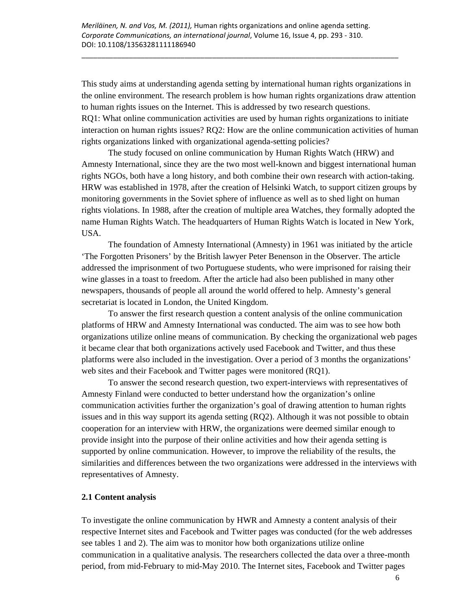This study aims at understanding agenda setting by international human rights organizations in the online environment. The research problem is how human rights organizations draw attention to human rights issues on the Internet. This is addressed by two research questions. RQ1: What online communication activities are used by human rights organizations to initiate interaction on human rights issues? RQ2: How are the online communication activities of human rights organizations linked with organizational agenda-setting policies?

The study focused on online communication by Human Rights Watch (HRW) and Amnesty International, since they are the two most well-known and biggest international human rights NGOs, both have a long history, and both combine their own research with action-taking. HRW was established in 1978, after the creation of Helsinki Watch, to support citizen groups by monitoring governments in the Soviet sphere of influence as well as to shed light on human rights violations. In 1988, after the creation of multiple area Watches, they formally adopted the name Human Rights Watch. The headquarters of Human Rights Watch is located in New York, USA.

The foundation of Amnesty International (Amnesty) in 1961 was initiated by the article 'The Forgotten Prisoners' by the British lawyer Peter Benenson in the Observer. The article addressed the imprisonment of two Portuguese students, who were imprisoned for raising their wine glasses in a toast to freedom. After the article had also been published in many other newspapers, thousands of people all around the world offered to help. Amnesty's general secretariat is located in London, the United Kingdom.

To answer the first research question a content analysis of the online communication platforms of HRW and Amnesty International was conducted. The aim was to see how both organizations utilize online means of communication. By checking the organizational web pages it became clear that both organizations actively used Facebook and Twitter, and thus these platforms were also included in the investigation. Over a period of 3 months the organizations' web sites and their Facebook and Twitter pages were monitored (RQ1).

To answer the second research question, two expert-interviews with representatives of Amnesty Finland were conducted to better understand how the organization's online communication activities further the organization's goal of drawing attention to human rights issues and in this way support its agenda setting (RQ2). Although it was not possible to obtain cooperation for an interview with HRW, the organizations were deemed similar enough to provide insight into the purpose of their online activities and how their agenda setting is supported by online communication. However, to improve the reliability of the results, the similarities and differences between the two organizations were addressed in the interviews with representatives of Amnesty.

### **2.1 Content analysis**

To investigate the online communication by HWR and Amnesty a content analysis of their respective Internet sites and Facebook and Twitter pages was conducted (for the web addresses see tables 1 and 2). The aim was to monitor how both organizations utilize online communication in a qualitative analysis. The researchers collected the data over a three-month period, from mid-February to mid-May 2010. The Internet sites, Facebook and Twitter pages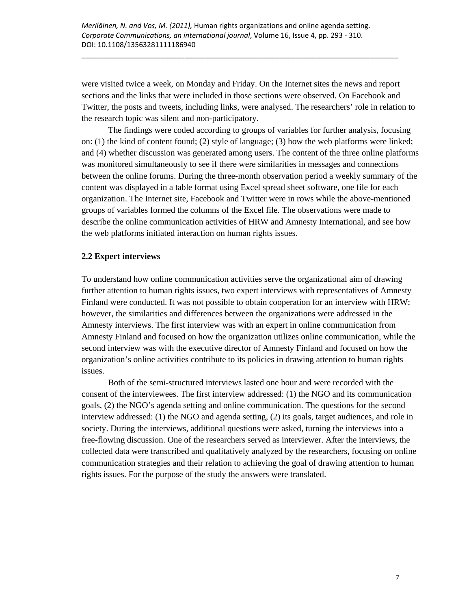were visited twice a week, on Monday and Friday. On the Internet sites the news and report sections and the links that were included in those sections were observed. On Facebook and Twitter, the posts and tweets, including links, were analysed. The researchers' role in relation to the research topic was silent and non-participatory.

\_\_\_\_\_\_\_\_\_\_\_\_\_\_\_\_\_\_\_\_\_\_\_\_\_\_\_\_\_\_\_\_\_\_\_\_\_\_\_\_\_\_\_\_\_\_\_\_\_\_\_\_\_\_\_\_\_\_\_\_\_\_\_\_\_\_\_\_\_\_\_\_\_\_\_\_\_\_\_\_

The findings were coded according to groups of variables for further analysis, focusing on: (1) the kind of content found; (2) style of language; (3) how the web platforms were linked; and (4) whether discussion was generated among users. The content of the three online platforms was monitored simultaneously to see if there were similarities in messages and connections between the online forums. During the three-month observation period a weekly summary of the content was displayed in a table format using Excel spread sheet software, one file for each organization. The Internet site, Facebook and Twitter were in rows while the above-mentioned groups of variables formed the columns of the Excel file. The observations were made to describe the online communication activities of HRW and Amnesty International, and see how the web platforms initiated interaction on human rights issues.

### **2.2 Expert interviews**

To understand how online communication activities serve the organizational aim of drawing further attention to human rights issues, two expert interviews with representatives of Amnesty Finland were conducted. It was not possible to obtain cooperation for an interview with HRW; however, the similarities and differences between the organizations were addressed in the Amnesty interviews. The first interview was with an expert in online communication from Amnesty Finland and focused on how the organization utilizes online communication, while the second interview was with the executive director of Amnesty Finland and focused on how the organization's online activities contribute to its policies in drawing attention to human rights issues.

Both of the semi-structured interviews lasted one hour and were recorded with the consent of the interviewees. The first interview addressed: (1) the NGO and its communication goals, (2) the NGO's agenda setting and online communication. The questions for the second interview addressed: (1) the NGO and agenda setting, (2) its goals, target audiences, and role in society. During the interviews, additional questions were asked, turning the interviews into a free-flowing discussion. One of the researchers served as interviewer. After the interviews, the collected data were transcribed and qualitatively analyzed by the researchers, focusing on online communication strategies and their relation to achieving the goal of drawing attention to human rights issues. For the purpose of the study the answers were translated.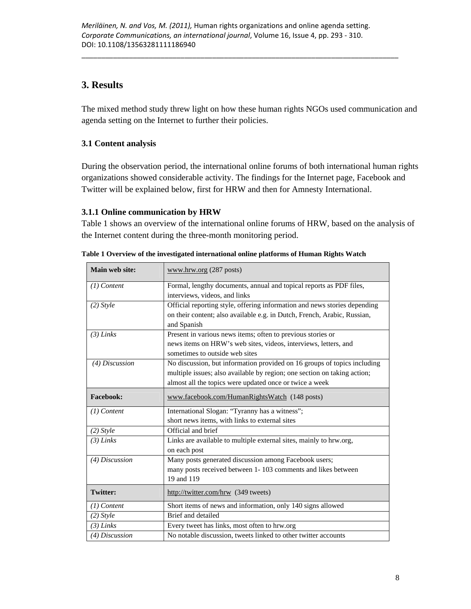# **3. Results**

The mixed method study threw light on how these human rights NGOs used communication and agenda setting on the Internet to further their policies.

# **3.1 Content analysis**

During the observation period, the international online forums of both international human rights organizations showed considerable activity. The findings for the Internet page, Facebook and Twitter will be explained below, first for HRW and then for Amnesty International.

### **3.1.1 Online communication by HRW**

Table 1 shows an overview of the international online forums of HRW, based on the analysis of the Internet content during the three-month monitoring period.

| Main web site:  | www.hrw.org (287 posts)                                                   |  |
|-----------------|---------------------------------------------------------------------------|--|
| $(1)$ Content   | Formal, lengthy documents, annual and topical reports as PDF files,       |  |
|                 | interviews, videos, and links                                             |  |
| $(2)$ Style     | Official reporting style, offering information and news stories depending |  |
|                 | on their content; also available e.g. in Dutch, French, Arabic, Russian,  |  |
|                 | and Spanish                                                               |  |
| $(3)$ Links     | Present in various news items; often to previous stories or               |  |
|                 | news items on HRW's web sites, videos, interviews, letters, and           |  |
|                 | sometimes to outside web sites                                            |  |
| (4) Discussion  | No discussion, but information provided on 16 groups of topics including  |  |
|                 | multiple issues; also available by region; one section on taking action;  |  |
|                 | almost all the topics were updated once or twice a week                   |  |
| Facebook:       | www.facebook.com/HumanRightsWatch (148 posts)                             |  |
| $(1)$ Content   | International Slogan: "Tyranny has a witness";                            |  |
|                 | short news items, with links to external sites                            |  |
| $(2)$ Style     | Official and brief                                                        |  |
| $(3)$ Links     | Links are available to multiple external sites, mainly to hrw.org,        |  |
|                 | on each post                                                              |  |
| (4) Discussion  | Many posts generated discussion among Facebook users;                     |  |
|                 | many posts received between 1-103 comments and likes between              |  |
|                 | 19 and 119                                                                |  |
| <b>Twitter:</b> | http://twitter.com/hrw (349 tweets)                                       |  |
| $(1)$ Content   | Short items of news and information, only 140 signs allowed               |  |
| $(2)$ Style     | Brief and detailed                                                        |  |
| $(3)$ Links     | Every tweet has links, most often to hrw.org                              |  |
| (4) Discussion  | No notable discussion, tweets linked to other twitter accounts            |  |

**Table 1 Overview of the investigated international online platforms of Human Rights Watch**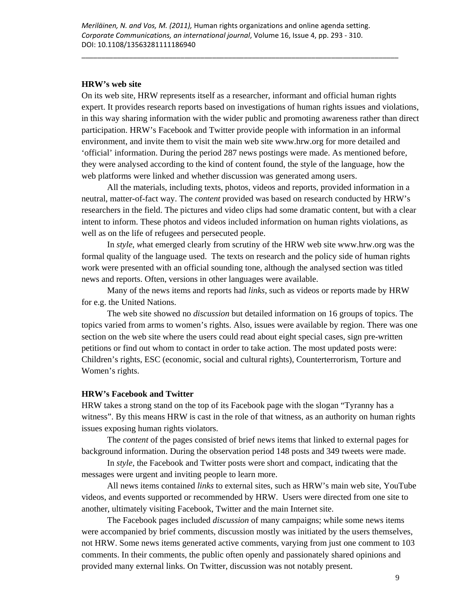### **HRW's web site**

On its web site, HRW represents itself as a researcher, informant and official human rights expert. It provides research reports based on investigations of human rights issues and violations, in this way sharing information with the wider public and promoting awareness rather than direct participation. HRW's Facebook and Twitter provide people with information in an informal environment, and invite them to visit the main web site www.hrw.org for more detailed and 'official' information. During the period 287 news postings were made. As mentioned before, they were analysed according to the kind of content found, the style of the language, how the web platforms were linked and whether discussion was generated among users.

All the materials, including texts, photos, videos and reports, provided information in a neutral, matter-of-fact way. The *content* provided was based on research conducted by HRW's researchers in the field. The pictures and video clips had some dramatic content, but with a clear intent to inform. These photos and videos included information on human rights violations, as well as on the life of refugees and persecuted people.

In *style*, *w*hat emerged clearly from scrutiny of the HRW web site www.hrw.org was the formal quality of the language used. The texts on research and the policy side of human rights work were presented with an official sounding tone, although the analysed section was titled news and reports. Often, versions in other languages were available.

Many of the news items and reports had *links*, such as videos or reports made by HRW for e.g. the United Nations.

The web site showed no *discussion* but detailed information on 16 groups of topics. The topics varied from arms to women's rights. Also, issues were available by region. There was one section on the web site where the users could read about eight special cases, sign pre-written petitions or find out whom to contact in order to take action. The most updated posts were: Children's rights, ESC (economic, social and cultural rights), Counterterrorism, Torture and Women's rights.

#### **HRW's Facebook and Twitter**

HRW takes a strong stand on the top of its Facebook page with the slogan "Tyranny has a witness". By this means HRW is cast in the role of that witness, as an authority on human rights issues exposing human rights violators.

The *content* of the pages consisted of brief news items that linked to external pages for background information. During the observation period 148 posts and 349 tweets were made.

In *style,* the Facebook and Twitter posts were short and compact, indicating that the messages were urgent and inviting people to learn more.

All news items contained *links* to external sites, such as HRW's main web site, YouTube videos, and events supported or recommended by HRW. Users were directed from one site to another, ultimately visiting Facebook, Twitter and the main Internet site.

The Facebook pages included *discussion* of many campaigns; while some news items were accompanied by brief comments, discussion mostly was initiated by the users themselves, not HRW. Some news items generated active comments, varying from just one comment to 103 comments. In their comments, the public often openly and passionately shared opinions and provided many external links. On Twitter, discussion was not notably present.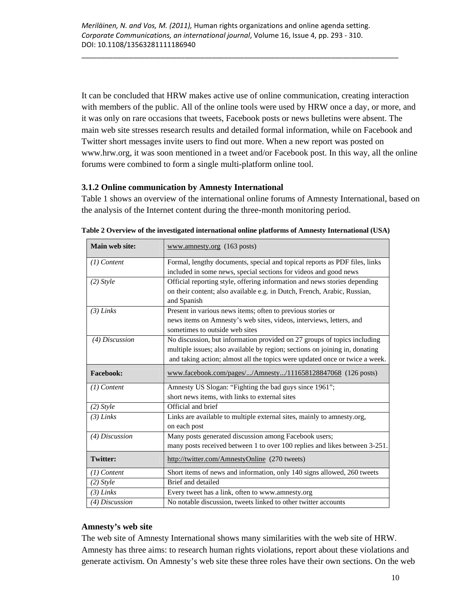It can be concluded that HRW makes active use of online communication, creating interaction with members of the public. All of the online tools were used by HRW once a day, or more, and it was only on rare occasions that tweets, Facebook posts or news bulletins were absent. The main web site stresses research results and detailed formal information, while on Facebook and Twitter short messages invite users to find out more. When a new report was posted on www.hrw.org, it was soon mentioned in a tweet and/or Facebook post. In this way, all the online forums were combined to form a single multi-platform online tool.

### **3.1.2 Online communication by Amnesty International**

Table 1 shows an overview of the international online forums of Amnesty International, based on the analysis of the Internet content during the three-month monitoring period.

| Main web site:   | www.amnesty.org (163 posts)                                                 |  |
|------------------|-----------------------------------------------------------------------------|--|
| $(1)$ Content    | Formal, lengthy documents, special and topical reports as PDF files, links  |  |
|                  | included in some news, special sections for videos and good news            |  |
| $(2)$ Style      | Official reporting style, offering information and news stories depending   |  |
|                  | on their content; also available e.g. in Dutch, French, Arabic, Russian,    |  |
|                  | and Spanish                                                                 |  |
| $(3)$ Links      | Present in various news items; often to previous stories or                 |  |
|                  | news items on Amnesty's web sites, videos, interviews, letters, and         |  |
|                  | sometimes to outside web sites                                              |  |
| $(4)$ Discussion | No discussion, but information provided on 27 groups of topics including    |  |
|                  | multiple issues; also available by region; sections on joining in, donating |  |
|                  | and taking action; almost all the topics were updated once or twice a week. |  |
| <b>Facebook:</b> | www.facebook.com/pages//Amnesty/111658128847068 (126 posts)                 |  |
| $(1)$ Content    | Amnesty US Slogan: "Fighting the bad guys since 1961";                      |  |
|                  | short news items, with links to external sites                              |  |
| $(2)$ Style      | Official and brief                                                          |  |
| $(3)$ Links      | Links are available to multiple external sites, mainly to amnesty.org,      |  |
|                  | on each post                                                                |  |
| (4) Discussion   | Many posts generated discussion among Facebook users;                       |  |
|                  | many posts received between 1 to over 100 replies and likes between 3-251.  |  |
| <b>Twitter:</b>  | http://twitter.com/AmnestyOnline (270 tweets)                               |  |
| (1) Content      | Short items of news and information, only 140 signs allowed, 260 tweets     |  |
| $(2)$ Style      | Brief and detailed                                                          |  |
| $(3)$ Links      | Every tweet has a link, often to www.amnesty.org                            |  |
| (4) Discussion   | No notable discussion, tweets linked to other twitter accounts              |  |

**Table 2 Overview of the investigated international online platforms of Amnesty International (USA)** 

### **Amnesty's web site**

The web site of Amnesty International shows many similarities with the web site of HRW. Amnesty has three aims: to research human rights violations, report about these violations and generate activism. On Amnesty's web site these three roles have their own sections. On the web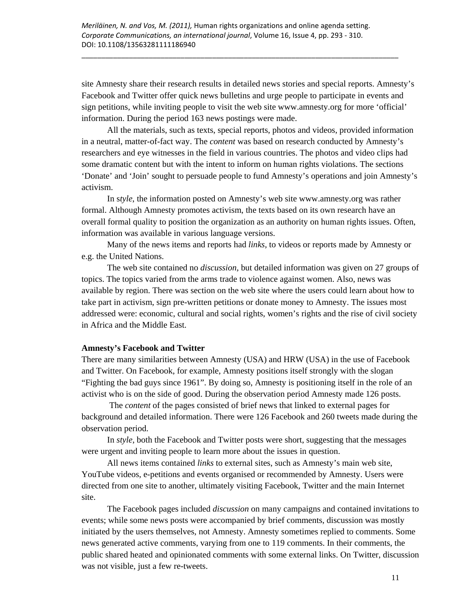site Amnesty share their research results in detailed news stories and special reports. Amnesty's Facebook and Twitter offer quick news bulletins and urge people to participate in events and sign petitions, while inviting people to visit the web site www.amnesty.org for more 'official' information. During the period 163 news postings were made.

\_\_\_\_\_\_\_\_\_\_\_\_\_\_\_\_\_\_\_\_\_\_\_\_\_\_\_\_\_\_\_\_\_\_\_\_\_\_\_\_\_\_\_\_\_\_\_\_\_\_\_\_\_\_\_\_\_\_\_\_\_\_\_\_\_\_\_\_\_\_\_\_\_\_\_\_\_\_\_\_

All the materials, such as texts, special reports, photos and videos, provided information in a neutral, matter-of-fact way. The *content* was based on research conducted by Amnesty's researchers and eye witnesses in the field in various countries. The photos and video clips had some dramatic content but with the intent to inform on human rights violations. The sections 'Donate' and 'Join' sought to persuade people to fund Amnesty's operations and join Amnesty's activism.

In s*tyle*, the information posted on Amnesty's web site www.amnesty.org was rather formal. Although Amnesty promotes activism, the texts based on its own research have an overall formal quality to position the organization as an authority on human rights issues. Often, information was available in various language versions.

Many of the news items and reports had *links*, to videos or reports made by Amnesty or e.g. the United Nations.

The web site contained no *discussion*, but detailed information was given on 27 groups of topics. The topics varied from the arms trade to violence against women. Also, news was available by region. There was section on the web site where the users could learn about how to take part in activism, sign pre-written petitions or donate money to Amnesty. The issues most addressed were: economic, cultural and social rights, women's rights and the rise of civil society in Africa and the Middle East.

### **Amnesty's Facebook and Twitter**

There are many similarities between Amnesty (USA) and HRW (USA) in the use of Facebook and Twitter. On Facebook, for example, Amnesty positions itself strongly with the slogan "Fighting the bad guys since 1961". By doing so, Amnesty is positioning itself in the role of an activist who is on the side of good. During the observation period Amnesty made 126 posts.

 The *content* of the pages consisted of brief news that linked to external pages for background and detailed information. There were 126 Facebook and 260 tweets made during the observation period.

In *style,* both the Facebook and Twitter posts were short, suggesting that the messages were urgent and inviting people to learn more about the issues in question.

All news items contained *links* to external sites, such as Amnesty's main web site, YouTube videos, e-petitions and events organised or recommended by Amnesty. Users were directed from one site to another, ultimately visiting Facebook, Twitter and the main Internet site.

The Facebook pages included *discussion* on many campaigns and contained invitations to events; while some news posts were accompanied by brief comments, discussion was mostly initiated by the users themselves, not Amnesty. Amnesty sometimes replied to comments. Some news generated active comments, varying from one to 119 comments. In their comments, the public shared heated and opinionated comments with some external links. On Twitter, discussion was not visible, just a few re-tweets.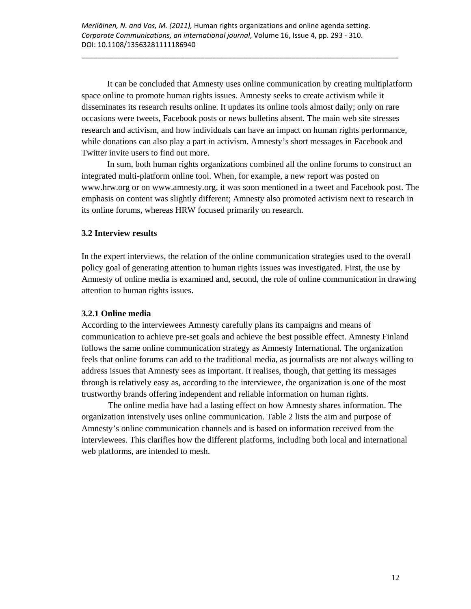It can be concluded that Amnesty uses online communication by creating multiplatform space online to promote human rights issues. Amnesty seeks to create activism while it disseminates its research results online. It updates its online tools almost daily; only on rare occasions were tweets, Facebook posts or news bulletins absent. The main web site stresses research and activism, and how individuals can have an impact on human rights performance, while donations can also play a part in activism. Amnesty's short messages in Facebook and Twitter invite users to find out more.

In sum, both human rights organizations combined all the online forums to construct an integrated multi-platform online tool. When, for example, a new report was posted on www.hrw.org or on www.amnesty.org, it was soon mentioned in a tweet and Facebook post. The emphasis on content was slightly different; Amnesty also promoted activism next to research in its online forums, whereas HRW focused primarily on research.

### **3.2 Interview results**

In the expert interviews, the relation of the online communication strategies used to the overall policy goal of generating attention to human rights issues was investigated. First, the use by Amnesty of online media is examined and, second, the role of online communication in drawing attention to human rights issues.

### **3.2.1 Online media**

According to the interviewees Amnesty carefully plans its campaigns and means of communication to achieve pre-set goals and achieve the best possible effect. Amnesty Finland follows the same online communication strategy as Amnesty International. The organization feels that online forums can add to the traditional media, as journalists are not always willing to address issues that Amnesty sees as important. It realises, though, that getting its messages through is relatively easy as, according to the interviewee, the organization is one of the most trustworthy brands offering independent and reliable information on human rights.

The online media have had a lasting effect on how Amnesty shares information. The organization intensively uses online communication. Table 2 lists the aim and purpose of Amnesty's online communication channels and is based on information received from the interviewees. This clarifies how the different platforms, including both local and international web platforms, are intended to mesh.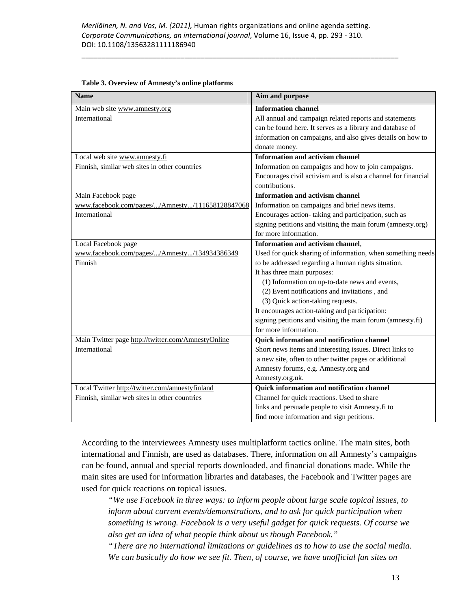| <b>Name</b>                                        | Aim and purpose                                               |
|----------------------------------------------------|---------------------------------------------------------------|
| Main web site www.amnesty.org                      | <b>Information channel</b>                                    |
| International                                      | All annual and campaign related reports and statements        |
|                                                    | can be found here. It serves as a library and database of     |
|                                                    | information on campaigns, and also gives details on how to    |
|                                                    | donate money.                                                 |
| Local web site www.amnesty.fi                      | <b>Information and activism channel</b>                       |
| Finnish, similar web sites in other countries      | Information on campaigns and how to join campaigns.           |
|                                                    | Encourages civil activism and is also a channel for financial |
|                                                    | contributions.                                                |
| Main Facebook page                                 | <b>Information and activism channel</b>                       |
| www.facebook.com/pages//Amnesty/111658128847068    | Information on campaigns and brief news items.                |
| International                                      | Encourages action-taking and participation, such as           |
|                                                    | signing petitions and visiting the main forum (amnesty.org)   |
|                                                    | for more information.                                         |
| Local Facebook page                                | <b>Information and activism channel.</b>                      |
| www.facebook.com/pages//Amnesty/134934386349       | Used for quick sharing of information, when something needs   |
| Finnish                                            | to be addressed regarding a human rights situation.           |
|                                                    | It has three main purposes:                                   |
|                                                    | (1) Information on up-to-date news and events,                |
|                                                    | (2) Event notifications and invitations, and                  |
|                                                    | (3) Quick action-taking requests.                             |
|                                                    | It encourages action-taking and participation:                |
|                                                    | signing petitions and visiting the main forum (amnesty.fi)    |
|                                                    | for more information.                                         |
| Main Twitter page http://twitter.com/AmnestyOnline | Quick information and notification channel                    |
| International                                      | Short news items and interesting issues. Direct links to      |
|                                                    | a new site, often to other twitter pages or additional        |
|                                                    | Amnesty forums, e.g. Amnesty.org and                          |
|                                                    | Amnesty.org.uk.                                               |
| Local Twitter http://twitter.com/amnestyfinland    | Quick information and notification channel                    |
| Finnish, similar web sites in other countries      | Channel for quick reactions. Used to share                    |
|                                                    | links and persuade people to visit Amnesty.fi to              |
|                                                    | find more information and sign petitions.                     |

#### **Table 3. Overview of Amnesty's online platforms**

According to the interviewees Amnesty uses multiplatform tactics online. The main sites, both international and Finnish, are used as databases. There, information on all Amnesty's campaigns can be found, annual and special reports downloaded, and financial donations made. While the main sites are used for information libraries and databases, the Facebook and Twitter pages are used for quick reactions on topical issues.

*"We use Facebook in three ways: to inform people about large scale topical issues, to inform about current events/demonstrations, and to ask for quick participation when something is wrong. Facebook is a very useful gadget for quick requests. Of course we also get an idea of what people think about us though Facebook."* 

*"There are no international limitations or guidelines as to how to use the social media. We can basically do how we see fit. Then, of course, we have unofficial fan sites on*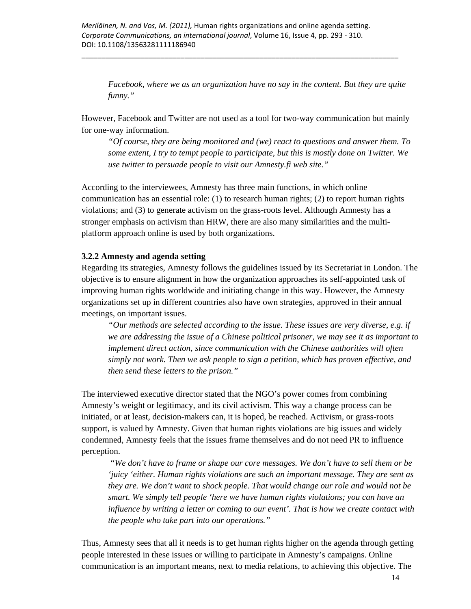*Facebook, where we as an organization have no say in the content. But they are quite funny."* 

However, Facebook and Twitter are not used as a tool for two-way communication but mainly for one-way information.

*"Of course, they are being monitored and (we) react to questions and answer them. To some extent, I try to tempt people to participate, but this is mostly done on Twitter. We use twitter to persuade people to visit our Amnesty.fi web site."* 

According to the interviewees, Amnesty has three main functions, in which online communication has an essential role: (1) to research human rights; (2) to report human rights violations; and (3) to generate activism on the grass-roots level. Although Amnesty has a stronger emphasis on activism than HRW, there are also many similarities and the multiplatform approach online is used by both organizations.

### **3.2.2 Amnesty and agenda setting**

Regarding its strategies, Amnesty follows the guidelines issued by its Secretariat in London. The objective is to ensure alignment in how the organization approaches its self-appointed task of improving human rights worldwide and initiating change in this way. However, the Amnesty organizations set up in different countries also have own strategies, approved in their annual meetings, on important issues.

*"Our methods are selected according to the issue. These issues are very diverse, e.g. if we are addressing the issue of a Chinese political prisoner, we may see it as important to implement direct action, since communication with the Chinese authorities will often simply not work. Then we ask people to sign a petition, which has proven effective, and then send these letters to the prison."* 

The interviewed executive director stated that the NGO's power comes from combining Amnesty's weight or legitimacy, and its civil activism. This way a change process can be initiated, or at least, decision-makers can, it is hoped, be reached. Activism, or grass-roots support, is valued by Amnesty. Given that human rights violations are big issues and widely condemned, Amnesty feels that the issues frame themselves and do not need PR to influence perception.

*"We don't have to frame or shape our core messages. We don't have to sell them or be 'juicy 'either. Human rights violations are such an important message. They are sent as they are. We don't want to shock people. That would change our role and would not be smart. We simply tell people 'here we have human rights violations; you can have an influence by writing a letter or coming to our event'. That is how we create contact with the people who take part into our operations."* 

Thus, Amnesty sees that all it needs is to get human rights higher on the agenda through getting people interested in these issues or willing to participate in Amnesty's campaigns. Online communication is an important means, next to media relations, to achieving this objective. The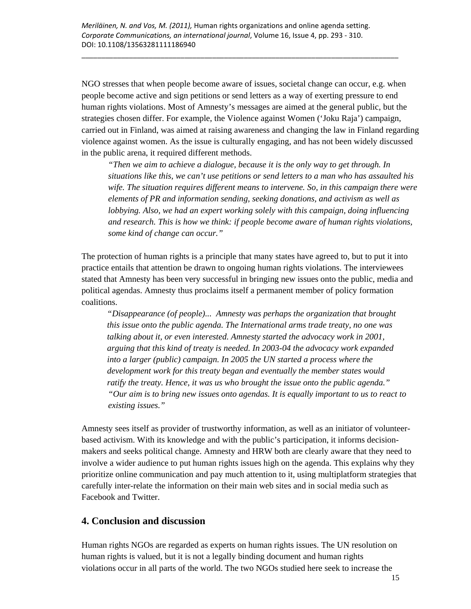NGO stresses that when people become aware of issues, societal change can occur, e.g. when people become active and sign petitions or send letters as a way of exerting pressure to end human rights violations. Most of Amnesty's messages are aimed at the general public, but the strategies chosen differ. For example, the Violence against Women ('Joku Raja') campaign, carried out in Finland, was aimed at raising awareness and changing the law in Finland regarding violence against women. As the issue is culturally engaging, and has not been widely discussed in the public arena, it required different methods.

*"Then we aim to achieve a dialogue, because it is the only way to get through. In situations like this, we can't use petitions or send letters to a man who has assaulted his wife. The situation requires different means to intervene. So, in this campaign there were elements of PR and information sending, seeking donations, and activism as well as lobbying. Also, we had an expert working solely with this campaign, doing influencing and research. This is how we think: if people become aware of human rights violations, some kind of change can occur."* 

The protection of human rights is a principle that many states have agreed to, but to put it into practice entails that attention be drawn to ongoing human rights violations. The interviewees stated that Amnesty has been very successful in bringing new issues onto the public, media and political agendas. Amnesty thus proclaims itself a permanent member of policy formation coalitions.

*"Disappearance (of people)... Amnesty was perhaps the organization that brought this issue onto the public agenda. The International arms trade treaty, no one was talking about it, or even interested. Amnesty started the advocacy work in 2001, arguing that this kind of treaty is needed. In 2003-04 the advocacy work expanded into a larger (public) campaign. In 2005 the UN started a process where the development work for this treaty began and eventually the member states would ratify the treaty. Hence, it was us who brought the issue onto the public agenda." "Our aim is to bring new issues onto agendas. It is equally important to us to react to existing issues."* 

Amnesty sees itself as provider of trustworthy information, as well as an initiator of volunteerbased activism. With its knowledge and with the public's participation, it informs decisionmakers and seeks political change. Amnesty and HRW both are clearly aware that they need to involve a wider audience to put human rights issues high on the agenda. This explains why they prioritize online communication and pay much attention to it, using multiplatform strategies that carefully inter-relate the information on their main web sites and in social media such as Facebook and Twitter.

### **4. Conclusion and discussion**

Human rights NGOs are regarded as experts on human rights issues. The UN resolution on human rights is valued, but it is not a legally binding document and human rights violations occur in all parts of the world. The two NGOs studied here seek to increase the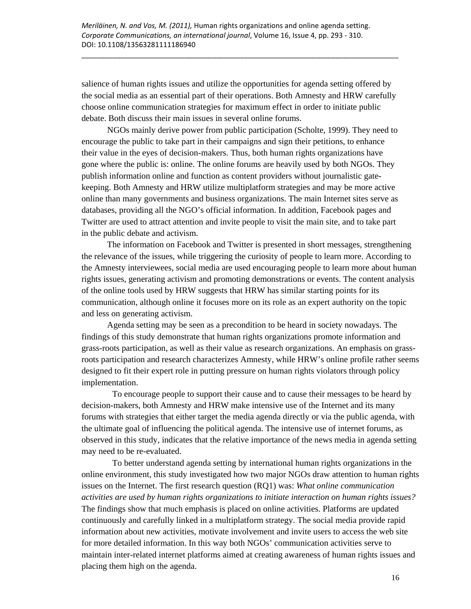salience of human rights issues and utilize the opportunities for agenda setting offered by the social media as an essential part of their operations. Both Amnesty and HRW carefully choose online communication strategies for maximum effect in order to initiate public debate. Both discuss their main issues in several online forums.

\_\_\_\_\_\_\_\_\_\_\_\_\_\_\_\_\_\_\_\_\_\_\_\_\_\_\_\_\_\_\_\_\_\_\_\_\_\_\_\_\_\_\_\_\_\_\_\_\_\_\_\_\_\_\_\_\_\_\_\_\_\_\_\_\_\_\_\_\_\_\_\_\_\_\_\_\_\_\_\_

NGOs mainly derive power from public participation (Scholte, 1999). They need to encourage the public to take part in their campaigns and sign their petitions, to enhance their value in the eyes of decision-makers. Thus, both human rights organizations have gone where the public is: online. The online forums are heavily used by both NGOs. They publish information online and function as content providers without journalistic gatekeeping. Both Amnesty and HRW utilize multiplatform strategies and may be more active online than many governments and business organizations. The main Internet sites serve as databases, providing all the NGO's official information. In addition, Facebook pages and Twitter are used to attract attention and invite people to visit the main site, and to take part in the public debate and activism.

The information on Facebook and Twitter is presented in short messages, strengthening the relevance of the issues, while triggering the curiosity of people to learn more. According to the Amnesty interviewees, social media are used encouraging people to learn more about human rights issues, generating activism and promoting demonstrations or events. The content analysis of the online tools used by HRW suggests that HRW has similar starting points for its communication, although online it focuses more on its role as an expert authority on the topic and less on generating activism.

Agenda setting may be seen as a precondition to be heard in society nowadays. The findings of this study demonstrate that human rights organizations promote information and grass-roots participation, as well as their value as research organizations. An emphasis on grassroots participation and research characterizes Amnesty, while HRW's online profile rather seems designed to fit their expert role in putting pressure on human rights violators through policy implementation.

To encourage people to support their cause and to cause their messages to be heard by decision-makers, both Amnesty and HRW make intensive use of the Internet and its many forums with strategies that either target the media agenda directly or via the public agenda, with the ultimate goal of influencing the political agenda. The intensive use of internet forums, as observed in this study, indicates that the relative importance of the news media in agenda setting may need to be re-evaluated.

To better understand agenda setting by international human rights organizations in the online environment, this study investigated how two major NGOs draw attention to human rights issues on the Internet. The first research question (RQ1) was: *What online communication activities are used by human rights organizations to initiate interaction on human rights issues?* The findings show that much emphasis is placed on online activities. Platforms are updated continuously and carefully linked in a multiplatform strategy. The social media provide rapid information about new activities, motivate involvement and invite users to access the web site for more detailed information. In this way both NGOs' communication activities serve to maintain inter-related internet platforms aimed at creating awareness of human rights issues and placing them high on the agenda.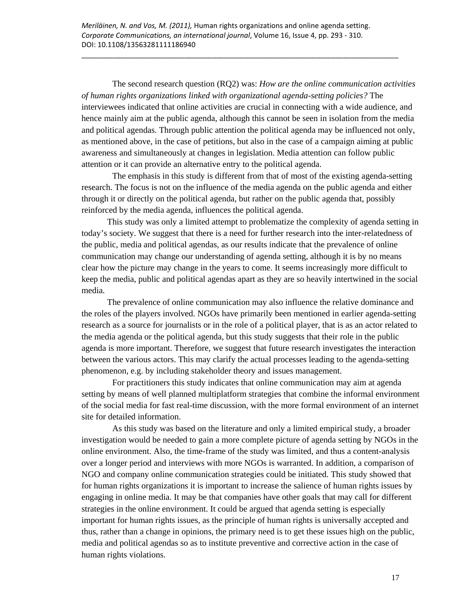The second research question (RQ2) was: *How are the online communication activities of human rights organizations linked with organizational agenda-setting policies?* The interviewees indicated that online activities are crucial in connecting with a wide audience, and hence mainly aim at the public agenda, although this cannot be seen in isolation from the media and political agendas. Through public attention the political agenda may be influenced not only, as mentioned above, in the case of petitions, but also in the case of a campaign aiming at public awareness and simultaneously at changes in legislation. Media attention can follow public attention or it can provide an alternative entry to the political agenda.

The emphasis in this study is different from that of most of the existing agenda-setting research. The focus is not on the influence of the media agenda on the public agenda and either through it or directly on the political agenda, but rather on the public agenda that, possibly reinforced by the media agenda, influences the political agenda.

This study was only a limited attempt to problematize the complexity of agenda setting in today's society. We suggest that there is a need for further research into the inter-relatedness of the public, media and political agendas, as our results indicate that the prevalence of online communication may change our understanding of agenda setting, although it is by no means clear how the picture may change in the years to come. It seems increasingly more difficult to keep the media, public and political agendas apart as they are so heavily intertwined in the social media.

The prevalence of online communication may also influence the relative dominance and the roles of the players involved. NGOs have primarily been mentioned in earlier agenda-setting research as a source for journalists or in the role of a political player, that is as an actor related to the media agenda or the political agenda, but this study suggests that their role in the public agenda is more important. Therefore, we suggest that future research investigates the interaction between the various actors. This may clarify the actual processes leading to the agenda-setting phenomenon, e.g. by including stakeholder theory and issues management.

For practitioners this study indicates that online communication may aim at agenda setting by means of well planned multiplatform strategies that combine the informal environment of the social media for fast real-time discussion, with the more formal environment of an internet site for detailed information.

As this study was based on the literature and only a limited empirical study, a broader investigation would be needed to gain a more complete picture of agenda setting by NGOs in the online environment. Also, the time-frame of the study was limited, and thus a content-analysis over a longer period and interviews with more NGOs is warranted. In addition, a comparison of NGO and company online communication strategies could be initiated. This study showed that for human rights organizations it is important to increase the salience of human rights issues by engaging in online media. It may be that companies have other goals that may call for different strategies in the online environment. It could be argued that agenda setting is especially important for human rights issues, as the principle of human rights is universally accepted and thus, rather than a change in opinions, the primary need is to get these issues high on the public, media and political agendas so as to institute preventive and corrective action in the case of human rights violations.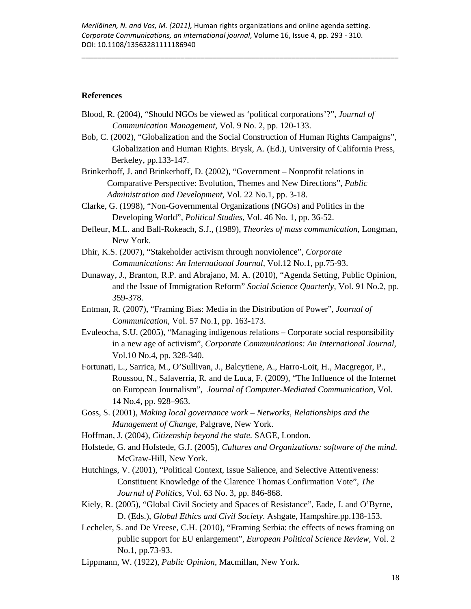#### **References**

- Blood, R. (2004), "Should NGOs be viewed as 'political corporations'?", *Journal of Communication Management,* Vol. 9 No. 2, pp. 120-133.
- Bob, C. (2002), "Globalization and the Social Construction of Human Rights Campaigns", Globalization and Human Rights. Brysk, A. (Ed.), University of California Press, Berkeley, pp.133-147.
- Brinkerhoff, J. and Brinkerhoff, D. (2002), "Government Nonprofit relations in Comparative Perspective: Evolution, Themes and New Directions", *Public Administration and Development,* Vol. 22 No.1, pp. 3-18.
- Clarke, G. (1998), "Non-Governmental Organizations (NGOs) and Politics in the Developing World", *Political Studies,* Vol. 46 No. 1, pp. 36-52.
- Defleur, M.L. and Ball-Rokeach, S.J., (1989), *Theories of mass communication*, Longman, New York.
- Dhir, K.S. (2007), "Stakeholder activism through nonviolence", *Corporate Communications: An International Journal,* Vol.12 No.1, pp.75-93.
- Dunaway, J., Branton, R.P. and Abrajano, M. A. (2010), "Agenda Setting, Public Opinion, and the Issue of Immigration Reform" *Social Science Quarterly*, Vol. 91 No.2, pp. 359-378.
- Entman, R. (2007), "Framing Bias: Media in the Distribution of Power", *Journal of Communication*, Vol. 57 No.1, pp. 163-173.
- Evuleocha, S.U. (2005), "Managing indigenous relations Corporate social responsibility in a new age of activism", *Corporate Communications: An International Journal,*  Vol.10 No.4, pp. 328-340.
- Fortunati, L., Sarrica, M., O'Sullivan, J., Balcytiene, A., Harro-Loit, H., Macgregor, P., Roussou, N., Salaverría, R. and de Luca, F. (2009), "The Influence of the Internet on European Journalism", *Journal of Computer-Mediated Communication,* Vol. 14 No.4, pp. 928–963.
- Goss, S. (2001), *Making local governance work Networks, Relationships and the Management of Change*, Palgrave, New York.
- Hoffman, J. (2004), *Citizenship beyond the state*. SAGE, London.
- Hofstede, G. and Hofstede, G.J. (2005), *Cultures and Organizations: software of the mind*. McGraw-Hill, New York.
- Hutchings, V. (2001), "Political Context, Issue Salience, and Selective Attentiveness: Constituent Knowledge of the Clarence Thomas Confirmation Vote", *The Journal of Politics,* Vol. 63 No. 3, pp. 846-868.
- Kiely, R. (2005), "Global Civil Society and Spaces of Resistance", Eade, J. and O'Byrne, D. (Eds.), *Global Ethics and Civil Society*. Ashgate, Hampshire.pp.138-153.
- Lecheler, S. and De Vreese, C.H. (2010), "Framing Serbia: the effects of news framing on public support for EU enlargement", *European Political Science Review,* Vol. 2 No.1, pp.73-93.
- Lippmann, W. (1922), *Public Opinion*, Macmillan, New York.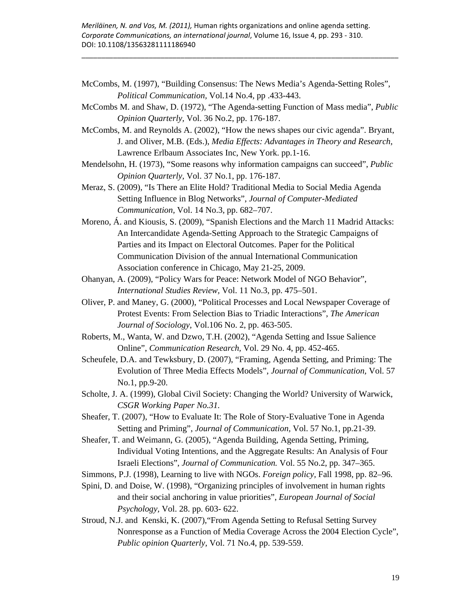*Meriläinen, N. and Vos, M. (2011),* Human rights organizations and online agenda setting. *Corporate Communications, an international journal*, Volume 16, Issue 4, pp. 293 ‐ 310. DOI: 10.1108/13563281111186940

McCombs, M. (1997), "Building Consensus: The News Media's Agenda-Setting Roles", *Political Communication,* Vol.14 No.4, pp .433-443.

\_\_\_\_\_\_\_\_\_\_\_\_\_\_\_\_\_\_\_\_\_\_\_\_\_\_\_\_\_\_\_\_\_\_\_\_\_\_\_\_\_\_\_\_\_\_\_\_\_\_\_\_\_\_\_\_\_\_\_\_\_\_\_\_\_\_\_\_\_\_\_\_\_\_\_\_\_\_\_\_

- McCombs M. and Shaw, D. (1972), "The Agenda-setting Function of Mass media", *Public Opinion Quarterly,* Vol. 36 No.2, pp. 176-187.
- McCombs, M. and Reynolds A. (2002), "How the news shapes our civic agenda". Bryant, J. and Oliver, M.B. (Eds.), *Media Effects: Advantages in Theory and Research*, Lawrence Erlbaum Associates Inc, New York. pp.1-16.
- Mendelsohn, H. (1973), "Some reasons why information campaigns can succeed", *Public Opinion Quarterly,* Vol. 37 No.1, pp. 176-187.
- Meraz, S. (2009), "Is There an Elite Hold? Traditional Media to Social Media Agenda Setting Influence in Blog Networks", *Journal of Computer-Mediated Communication,* Vol. 14 No.3, pp. 682–707.
- Moreno, Á. and Kiousis, S. (2009), "Spanish Elections and the March 11 Madrid Attacks: An Intercandidate Agenda-Setting Approach to the Strategic Campaigns of Parties and its Impact on Electoral Outcomes. Paper for the Political Communication Division of the annual International Communication Association conference in Chicago, May 21-25, 2009.
- Ohanyan, A. (2009), "Policy Wars for Peace: Network Model of NGO Behavior", *International Studies Review,* Vol. 11 No.3, pp. 475–501.
- Oliver, P. and Maney, G. (2000), "Political Processes and Local Newspaper Coverage of Protest Events: From Selection Bias to Triadic Interactions", *The American Journal of Sociology*, Vol.106 No. 2, pp. 463-505.
- Roberts, M., Wanta, W. and Dzwo, T.H. (2002), "Agenda Setting and Issue Salience Online", *Communication Research,* Vol. 29 No. 4, pp. 452-465.
- Scheufele, D.A. and Tewksbury, D. (2007), "Framing, Agenda Setting, and Priming: The Evolution of Three Media Effects Models", *Journal of Communication,* Vol. 57 No.1, pp.9-20.
- Scholte, J. A. (1999), Global Civil Society: Changing the World? University of Warwick, *CSGR Working Paper No.31.*
- Sheafer, T. (2007), "How to Evaluate It: The Role of Story-Evaluative Tone in Agenda Setting and Priming", *Journal of Communication,* Vol. 57 No.1, pp.21-39.
- Sheafer, T. and Weimann, G. (2005), "Agenda Building, Agenda Setting, Priming, Individual Voting Intentions, and the Aggregate Results: An Analysis of Four Israeli Elections", *Journal of Communication.* Vol. 55 No.2, pp. 347–365.

Simmons, P.J. (1998), Learning to live with NGOs. *Foreign policy,* Fall 1998, pp. 82–96.

- Spini, D. and Doise, W. (1998), "Organizing principles of involvement in human rights and their social anchoring in value priorities", *European Journal of Social Psychology,* Vol. 28. pp. 603- 622.
- Stroud, N.J. and Kenski, K. (2007),"From Agenda Setting to Refusal Setting Survey Nonresponse as a Function of Media Coverage Across the 2004 Election Cycle", *Public opinion Quarterly,* Vol. 71 No.4, pp. 539-559.